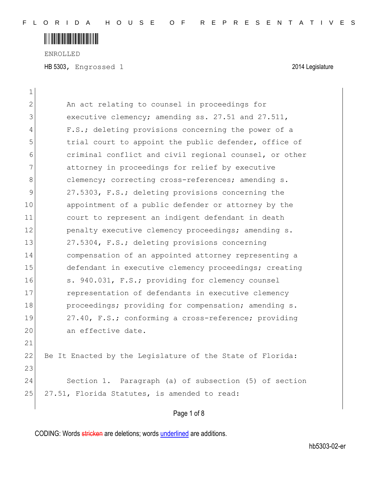ENROLLED

HB 5303, Engrossed 1 2014 Legislature

| 1            |                                                           |
|--------------|-----------------------------------------------------------|
| 2            | An act relating to counsel in proceedings for             |
| 3            | executive clemency; amending ss. 27.51 and 27.511,        |
| 4            | F.S.; deleting provisions concerning the power of a       |
| 5            | trial court to appoint the public defender, office of     |
| 6            | criminal conflict and civil regional counsel, or other    |
| 7            | attorney in proceedings for relief by executive           |
| 8            | clemency; correcting cross-references; amending s.        |
| $\mathsf{S}$ | 27.5303, F.S.; deleting provisions concerning the         |
| 10           | appointment of a public defender or attorney by the       |
| 11           | court to represent an indigent defendant in death         |
| 12           | penalty executive clemency proceedings; amending s.       |
| 13           | 27.5304, F.S.; deleting provisions concerning             |
| 14           | compensation of an appointed attorney representing a      |
| 15           | defendant in executive clemency proceedings; creating     |
| 16           | s. 940.031, F.S.; providing for clemency counsel          |
| 17           | representation of defendants in executive clemency        |
| 18           | proceedings; providing for compensation; amending s.      |
| 19           | 27.40, F.S.; conforming a cross-reference; providing      |
| 20           | an effective date.                                        |
| 21           |                                                           |
| 22           | Be It Enacted by the Legislature of the State of Florida: |
| 23           |                                                           |
| 24           | Section 1. Paragraph (a) of subsection (5) of section     |
| 25           | 27.51, Florida Statutes, is amended to read:              |
|              |                                                           |

Page 1 of 8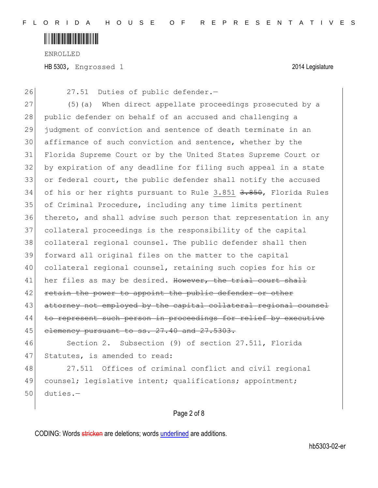

ENROLLED HB 5303, Engrossed 1 2014 Legislature

26 27.51 Duties of public defender.-

27 (5)(a) When direct appellate proceedings prosecuted by a 28 public defender on behalf of an accused and challenging a 29 judgment of conviction and sentence of death terminate in an 30 affirmance of such conviction and sentence, whether by the 31 Florida Supreme Court or by the United States Supreme Court or 32 by expiration of any deadline for filing such appeal in a state 33 or federal court, the public defender shall notify the accused 34 of his or her rights pursuant to Rule 3.851 <del>3.850</del>, Florida Rules 35 of Criminal Procedure, including any time limits pertinent 36 thereto, and shall advise such person that representation in any 37 collateral proceedings is the responsibility of the capital 38 collateral regional counsel. The public defender shall then 39 forward all original files on the matter to the capital 40 collateral regional counsel, retaining such copies for his or 41 her files as may be desired. However, the trial court shall 42 retain the power to appoint the public defender or other 43 attorney not employed by the capital collateral regional counsel 44 to represent such person in proceedings for relief by executive 45 elemency pursuant to ss. 27.40 and 27.5303.

46 Section 2. Subsection (9) of section 27.511, Florida 47 Statutes, is amended to read:

48 27.511 Offices of criminal conflict and civil regional 49 counsel; legislative intent; qualifications; appointment; 50 duties.—

#### Page 2 of 8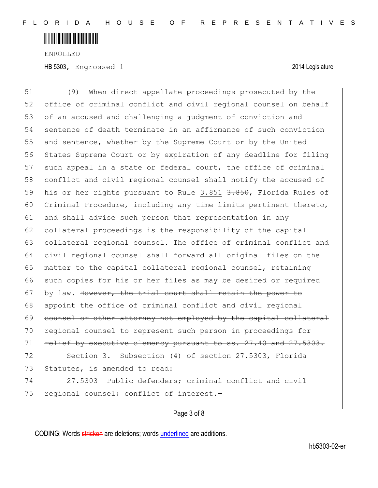

ENROLLED HB 5303, Engrossed 1 2014 Legislature

51 (9) When direct appellate proceedings prosecuted by the 52 office of criminal conflict and civil regional counsel on behalf 53 of an accused and challenging a judgment of conviction and 54 sentence of death terminate in an affirmance of such conviction 55 and sentence, whether by the Supreme Court or by the United 56 States Supreme Court or by expiration of any deadline for filing 57 such appeal in a state or federal court, the office of criminal 58 conflict and civil regional counsel shall notify the accused of 59 his or her rights pursuant to Rule 3.851 3.850, Florida Rules of 60 Criminal Procedure, including any time limits pertinent thereto, 61 and shall advise such person that representation in any 62 collateral proceedings is the responsibility of the capital 63 collateral regional counsel. The office of criminal conflict and 64 civil regional counsel shall forward all original files on the 65 matter to the capital collateral regional counsel, retaining 66 such copies for his or her files as may be desired or required 67 by law. However, the trial court shall retain the power to 68 appoint the office of criminal conflict and civil regional 69 counsel or other attorney not employed by the capital collateral 70 regional counsel to represent such person in proceedings for 71 relief by executive clemency pursuant to ss. 27.40 and 27.5303. 72 Section 3. Subsection (4) of section 27.5303, Florida 73 Statutes, is amended to read: 74 27.5303 Public defenders; criminal conflict and civil 75 regional counsel; conflict of interest.-

#### Page 3 of 8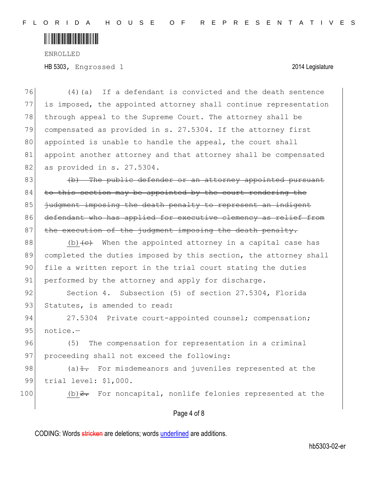

ENROLLED HB 5303, Engrossed 1 2014 Legislature

76 (4)(a) If a defendant is convicted and the death sentence 77 is imposed, the appointed attorney shall continue representation 78 through appeal to the Supreme Court. The attorney shall be 79 compensated as provided in s. 27.5304. If the attorney first 80 appointed is unable to handle the appeal, the court shall 81 appoint another attorney and that attorney shall be compensated 82 as provided in s. 27.5304.  $83$  (b) The public defender or an attorney appointed pursuant  $84$  to this section may be appointed by the court rendering the 85 indement imposing the death penalty to represent an indigent 86 defendant who has applied for executive clemency as relief from 87 the execution of the judgment imposing the death penalty. 88 (b) $\leftarrow$  When the appointed attorney in a capital case has 89 completed the duties imposed by this section, the attorney shall 90 file a written report in the trial court stating the duties 91 performed by the attorney and apply for discharge. 92 Section 4. Subsection (5) of section 27.5304, Florida 93 Statutes, is amended to read: 94 27.5304 Private court-appointed counsel; compensation; 95 notice.-96 (5) The compensation for representation in a criminal 97 proceeding shall not exceed the following: 98 (a) $\pm$ . For misdemeanors and juveniles represented at the 99 trial level: \$1,000. 100 (b)  $2$ . For noncapital, nonlife felonies represented at the

#### Page 4 of 8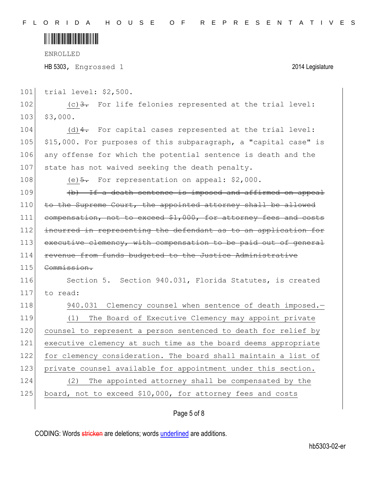ENROLLED

 $\overline{\phantom{a}}$ 

HB 5303, Engrossed 1 2014 Legislature

| 101 | trial level: \$2,500.                                            |
|-----|------------------------------------------------------------------|
| 102 | $(c)$ 3. For life felonies represented at the trial level:       |
| 103 | \$3,000.                                                         |
| 104 | $(d)$ 4. For capital cases represented at the trial level:       |
| 105 | \$15,000. For purposes of this subparagraph, a "capital case" is |
| 106 | any offense for which the potential sentence is death and the    |
| 107 | state has not waived seeking the death penalty.                  |
| 108 | (e) $\frac{5}{2}$ . For representation on appeal: \$2,000.       |
| 109 | (b) If a death sentence is imposed and affirmed on appeal        |
| 110 | to the Supreme Court, the appointed attorney shall be allowed    |
| 111 | compensation, not to exceed \$1,000, for attorney fees and costs |
| 112 | incurred in representing the defendant as to an application for  |
| 113 | executive clemency, with compensation to be paid out of general  |
| 114 | revenue from funds budgeted to the Justice Administrative        |
| 115 | Commission.                                                      |
| 116 | Section 5. Section 940.031, Florida Statutes, is created         |
| 117 | to read:                                                         |
| 118 | 940.031 Clemency counsel when sentence of death imposed.-        |
| 119 | The Board of Executive Clemency may appoint private<br>(1)       |
| 120 | counsel to represent a person sentenced to death for relief by   |
| 121 | executive clemency at such time as the board deems appropriate   |
| 122 | for clemency consideration. The board shall maintain a list of   |
| 123 | private counsel available for appointment under this section.    |
| 124 | The appointed attorney shall be compensated by the<br>(2)        |
| 125 | board, not to exceed \$10,000, for attorney fees and costs       |

### Page 5 of 8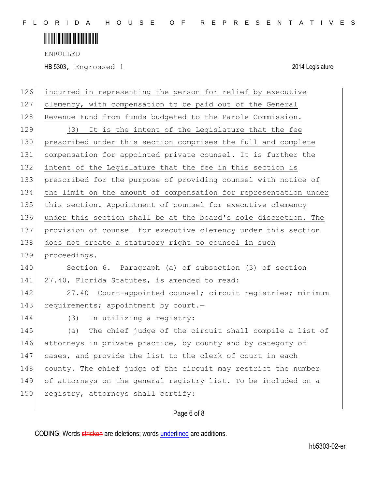ENROLLED

HB 5303, Engrossed 1 2014 Legislature

| 126 | incurred in representing the person for relief by executive      |
|-----|------------------------------------------------------------------|
| 127 | clemency, with compensation to be paid out of the General        |
| 128 | Revenue Fund from funds budgeted to the Parole Commission.       |
| 129 | It is the intent of the Legislature that the fee<br>(3)          |
| 130 | prescribed under this section comprises the full and complete    |
| 131 | compensation for appointed private counsel. It is further the    |
| 132 | intent of the Legislature that the fee in this section is        |
| 133 | prescribed for the purpose of providing counsel with notice of   |
| 134 | the limit on the amount of compensation for representation under |
| 135 | this section. Appointment of counsel for executive clemency      |
| 136 | under this section shall be at the board's sole discretion. The  |
| 137 | provision of counsel for executive clemency under this section   |
| 138 | does not create a statutory right to counsel in such             |
|     |                                                                  |
| 139 | proceedings.                                                     |
| 140 | Section 6. Paragraph (a) of subsection (3) of section            |
| 141 | 27.40, Florida Statutes, is amended to read:                     |
| 142 | 27.40 Court-appointed counsel; circuit registries; minimum       |
| 143 | requirements; appointment by court.-                             |
| 144 | In utilizing a registry:<br>(3)                                  |
| 145 | The chief judge of the circuit shall compile a list of<br>(a)    |
| 146 | attorneys in private practice, by county and by category of      |
| 147 | cases, and provide the list to the clerk of court in each        |
| 148 | county. The chief judge of the circuit may restrict the number   |
| 149 | of attorneys on the general registry list. To be included on a   |
| 150 | registry, attorneys shall certify:                               |

### Page 6 of 8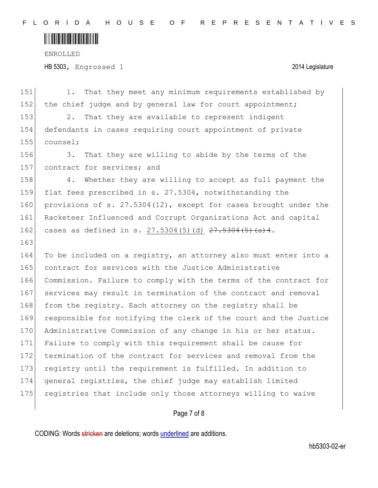ENROLLED HB 5303, Engrossed 1 2014 Legislature

| 151 | That they meet any minimum requirements established by<br>1.        |
|-----|---------------------------------------------------------------------|
| 152 | the chief judge and by general law for court appointment;           |
| 153 | 2.<br>That they are available to represent indigent                 |
| 154 | defendants in cases requiring court appointment of private          |
| 155 | counsel;                                                            |
| 156 | That they are willing to abide by the terms of the<br>3.            |
| 157 | contract for services; and                                          |
| 158 | Whether they are willing to accept as full payment the<br>4.        |
| 159 | flat fees prescribed in s. 27.5304, notwithstanding the             |
| 160 | provisions of s. $27.5304(12)$ , except for cases brought under the |
| 161 | Racketeer Influenced and Corrupt Organizations Act and capital      |
| 162 | cases as defined in s. $27.5304(5)$ (d) $27.5304(5)$ (a) 4.         |
| 163 |                                                                     |
|     |                                                                     |
| 164 | To be included on a registry, an attorney also must enter into a    |
| 165 | contract for services with the Justice Administrative               |
| 166 | Commission. Failure to comply with the terms of the contract for    |
| 167 | services may result in termination of the contract and removal      |
| 168 | from the registry. Each attorney on the registry shall be           |
| 169 | responsible for notifying the clerk of the court and the Justice    |
| 170 | Administrative Commission of any change in his or her status.       |
| 171 | Failure to comply with this requirement shall be cause for          |
| 172 | termination of the contract for services and removal from the       |
| 173 | registry until the requirement is fulfilled. In addition to         |
| 174 | general registries, the chief judge may establish limited           |
| 175 | registries that include only those attorneys willing to waive       |

### Page 7 of 8